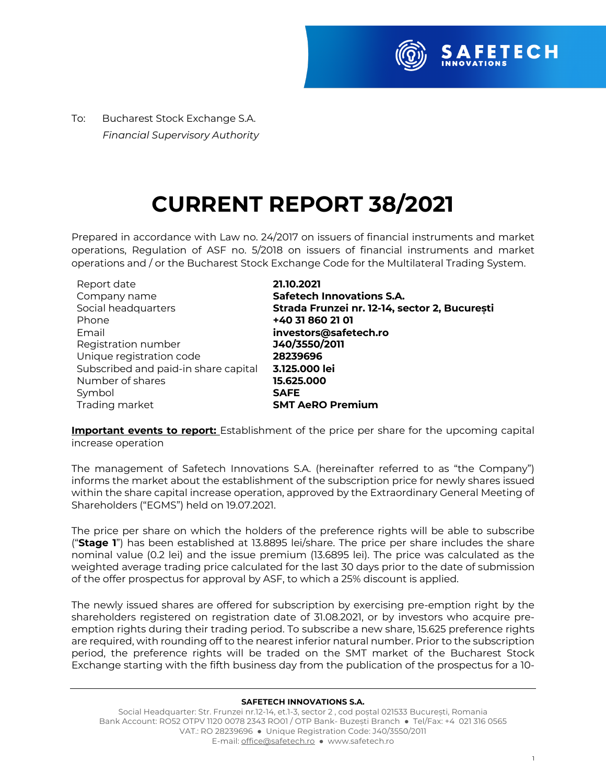

To:Bucharest Stock Exchange S.A.  *Financial Supervisory Authority*

## **CURRENT REPORT 38/2021**

Prepared in accordance with Law no. 24/2017 on issuers of financial instruments and market operations, Regulation of ASF no. 5/2018 on issuers of financial instruments and market operations and / or the Bucharest Stock Exchange Code for the Multilateral Trading System.

| 21.10.2021                                    |
|-----------------------------------------------|
| <b>Safetech Innovations S.A.</b>              |
| Strada Frunzei nr. 12-14, sector 2, București |
| +40 31 860 21 01                              |
| investors@safetech.ro                         |
| J40/3550/2011                                 |
| 28239696                                      |
| 3.125.000 lei                                 |
| 15.625.000                                    |
| <b>SAFE</b>                                   |
| <b>SMT AeRO Premium</b>                       |
|                                               |

**Important events to report:** Establishment of the price per share for the upcoming capital increase operation

The management of Safetech Innovations S.A. (hereinafter referred to as "the Company") informs the market about the establishment of the subscription price for newly shares issued within the share capital increase operation, approved by the Extraordinary General Meeting of Shareholders ("EGMS") held on 19.07.2021.

The price per share on which the holders of the preference rights will be able to subscribe ("**Stage 1**") has been established at 13.8895 lei/share. The price per share includes the share nominal value (0.2 lei) and the issue premium (13.6895 lei). The price was calculated as the weighted average trading price calculated for the last 30 days prior to the date of submission of the offer prospectus for approval by ASF, to which a 25% discount is applied.

The newly issued shares are offered for subscription by exercising pre-emption right by the shareholders registered on registration date of 31.08.2021, or by investors who acquire preemption rights during their trading period. To subscribe a new share, 15.625 preference rights are required, with rounding off to the nearest inferior natural number. Prior to the subscription period, the preference rights will be traded on the SMT market of the Bucharest Stock Exchange starting with the fifth business day from the publication of the prospectus for a 10-

## **SAFETECH INNOVATIONS S.A.**

Social Headquarter: Str. Frunzei nr.12-14, et.1-3, sector 2 , cod poștal 021533 București, Romania Bank Account: RO52 OTPV 1120 0078 2343 RO01 / OTP Bank- Buzești Branch ● Tel/Fax: +4 021 316 0565 VAT.: RO 28239696 ● Unique Registration Code: J40/3550/2011 E-mail: office@safetech.ro ● www.safetech.ro